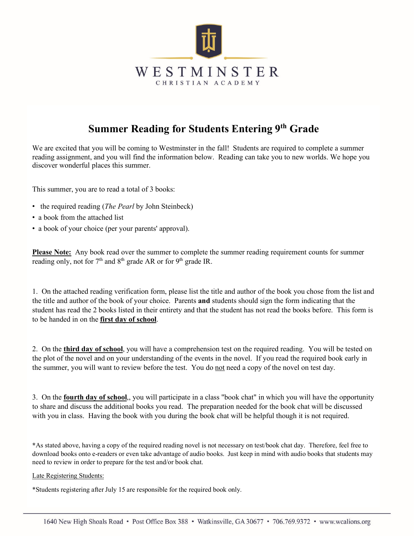

# **Summer Reading for Students Entering 9th Grade**

We are excited that you will be coming to Westminster in the fall! Students are required to complete a summer reading assignment, and you will find the information below. Reading can take you to new worlds. We hope you discover wonderful places this summer.

This summer, you are to read a total of 3 books:

- the required reading (*The Pearl* by John Steinbeck)
- a book from the attached list
- a book of your choice (per your parents' approval).

**Please Note:** Any book read over the summer to complete the summer reading requirement counts for summer reading only, not for  $7<sup>th</sup>$  and  $8<sup>th</sup>$  grade AR or for  $9<sup>th</sup>$  grade IR.

1. On the attached reading verification form, please list the title and author of the book you chose from the list and the title and author of the book of your choice. Parents **and** students should sign the form indicating that the student has read the 2 books listed in their entirety and that the student has not read the books before. This form is to be handed in on the **first day of school**.

2. On the **third day of school**, you will have a comprehension test on the required reading. You will be tested on the plot of the novel and on your understanding of the events in the novel. If you read the required book early in the summer, you will want to review before the test. You do not need a copy of the novel on test day.

3. On the **fourth day of school**,, you will participate in a class "book chat" in which you will have the opportunity to share and discuss the additional books you read. The preparation needed for the book chat will be discussed with you in class. Having the book with you during the book chat will be helpful though it is not required.

**\***As stated above, having a copy of the required reading novel is not necessary on test/book chat day. Therefore, feel free to download books onto e-readers or even take advantage of audio books. Just keep in mind with audio books that students may need to review in order to prepare for the test and/or book chat.

Late Registering Students:

\*Students registering after July 15 are responsible for the required book only.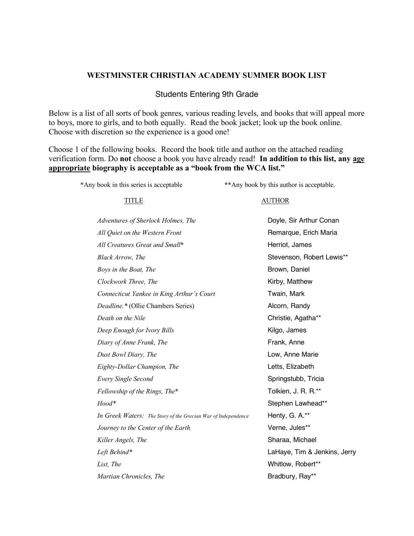### **WESTMINSTER CHRISTIAN ACADEMY SUMMER BOOK LIST**

### Students Entering 9th Grade

Below is a list of all sorts of book genres, various reading levels, and books that will appeal more to boys, more to girls, and to both equally. Read the book jacket; look up the book online. Choose with discretion so the experience is a good one!

Choose 1 of the following books. Record the book title and author on the attached reading verification form. Do **not** choose a book you have already read! **In addition to this list, any age appropriate biography is acceptable as a "book from the WCA list."**

**\***Any book in this series is acceptable **\*\***Any book by this author is acceptable.

TITLE AUTHOR

| Adventures of Sherlock Holmes, The                            | Doyle, Sir Arthur Conan      |
|---------------------------------------------------------------|------------------------------|
| All Quiet on the Western Front                                | Remarque, Erich Maria        |
| All Creatures Great and Small*                                | Herriot, James               |
| Black Arrow, The                                              | Stevenson, Robert Lewis**    |
| Boys in the Boat, The                                         | Brown, Daniel                |
| Clockwork Three, The                                          | Kirby, Matthew               |
| Connecticut Yankee in King Arthur's Court                     | Twain, Mark                  |
| Deadline.* (Ollie Chambers Series)                            | Alcorn, Randy                |
| Death on the Nile                                             | Christie, Agatha**           |
| Deep Enough for Ivory Bills                                   | Kilgo, James                 |
| Diary of Anne Frank, The                                      | Frank, Anne                  |
| Dust Bowl Diary, The                                          | Low, Anne Marie              |
| Eighty-Dollar Champion, The                                   | Letts, Elizabeth             |
| Every Single Second                                           | Springstubb, Tricia          |
| Fellowship of the Rings, The*                                 | Tolkien, J. R. R.**          |
| Hood*                                                         | Stephen Lawhead**            |
| In Greek Waters: The Story of the Grecian War of Independence | Henty, G. A.**               |
| Journey to the Center of the Earth                            | Verne, Jules**               |
| Killer Angels, The                                            | Sharaa, Michael              |
| Left Behind*                                                  | LaHaye, Tim & Jenkins, Jerry |
| List, The                                                     | Whitlow, Robert**            |
| Martian Chronicles, The                                       | Bradbury, Ray**              |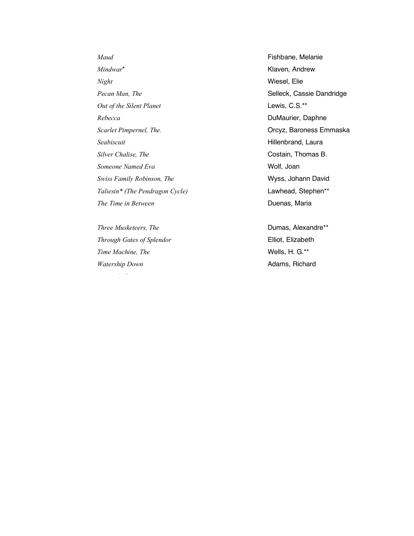*Maud* **Fishbane**, Melanie *Mindwar*<sup>\*</sup> Klaven, Andrew *Night* Wiesel, Elie **Pecan Man, The** Selleck, Cassie Dandridge *Out of the Silent Planet* Lewis, C.S.\*\* Rebecca **DuMaurier**, Daphne *Scarlet Pimpernel, The.* Orcyz, Baroness Emmaska *Seabiscuit* Hillenbrand, Laura *Silver Chalise, The* Costain, Thomas B. **Someone** Named Eva Wolf, Joan *Swiss Family Robinson, The* Wyss, Johann David *Taliesin\* (The Pendragon Cycle)* Lawhead, Stephen\*\* *The Time in Between* **Duenas, Maria** 

*Three Musketeers, The* **Dumas, Alexandre\*\*** *Through Gates of Splendor* Elliot, Elizabeth *Time Machine, The* **Wells, H. G.\*\*** *Watership Down* **Adams**, Richard

*What She Left Behind* Ellen Marie Wiseman